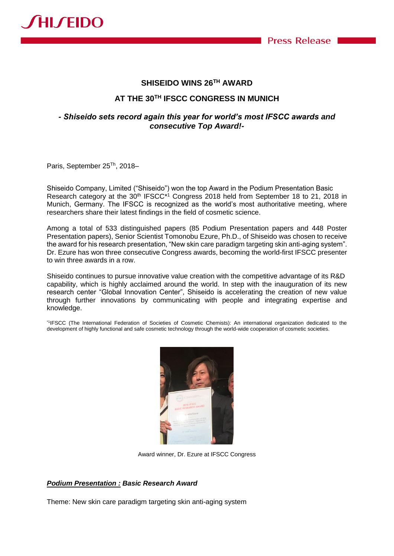

## **SHISEIDO WINS 26TH AWARD**

# **AT THE 30TH IFSCC CONGRESS IN MUNICH**

## *- Shiseido sets record again this year for world's most IFSCC awards and consecutive Top Award!-*

Paris, September 25<sup>Th</sup>, 2018-

Shiseido Company, Limited ("Shiseido") won the top Award in the Podium Presentation Basic Research category at the 30<sup>th</sup> IFSCC<sup>\*1</sup> Congress 2018 held from September 18 to 21, 2018 in Munich, Germany. The IFSCC is recognized as the world's most authoritative meeting, where researchers share their latest findings in the field of cosmetic science.

Among a total of 533 distinguished papers (85 Podium Presentation papers and 448 Poster Presentation papers), Senior Scientist Tomonobu Ezure, Ph.D., of Shiseido was chosen to receive the award for his research presentation, "New skin care paradigm targeting skin anti-aging system". Dr. Ezure has won three consecutive Congress awards, becoming the world-first IFSCC presenter to win three awards in a row.

Shiseido continues to pursue innovative value creation with the competitive advantage of its R&D capability, which is highly acclaimed around the world. In step with the inauguration of its new research center "Global Innovation Center", Shiseido is accelerating the creation of new value through further innovations by communicating with people and integrating expertise and knowledge.

\*1 IFSCC (The International Federation of Societies of Cosmetic Chemists): An international organization dedicated to the development of highly functional and safe cosmetic technology through the world-wide cooperation of cosmetic societies.



Award winner, Dr. Ezure at IFSCC Congress

### *Podium Presentation : Basic Research Award*

Theme: New skin care paradigm targeting skin anti-aging system